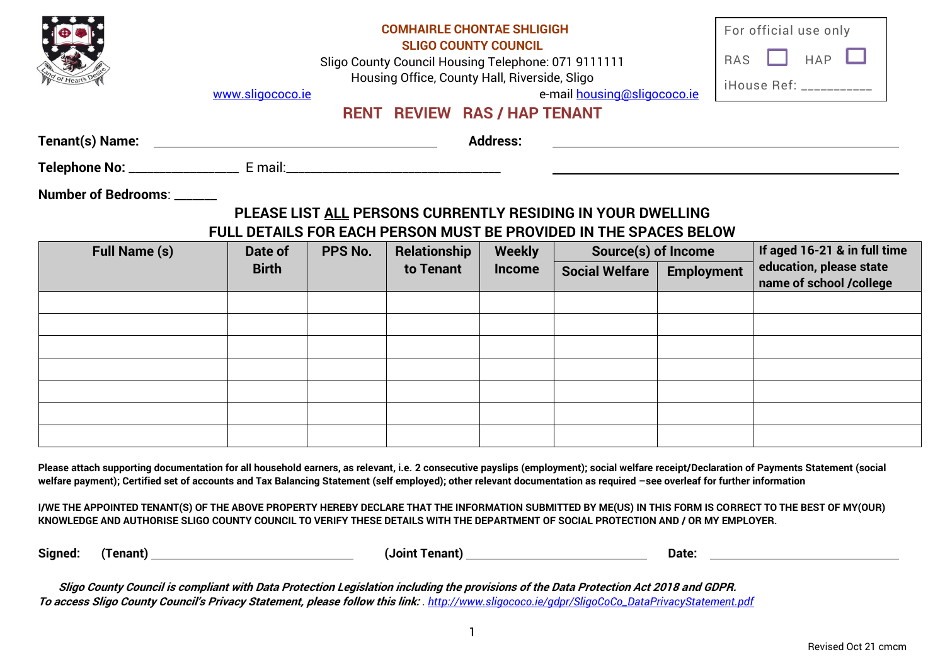

## **COMHAIRLE CHONTAE SHLIGIGH**

**SLIGO COUNTY COUNCIL**

Sligo County Council Housing Telephone: 071 9111111 Housing Office, County Hall, Riverside, Sligo

| For official use only |  |  |
|-----------------------|--|--|
| RAS $\Box$ HAP $\Box$ |  |  |
| iHouse Ref: _         |  |  |

[www.sligococo.ie](http://www.sligococo.ie/) e-mail [housing@sligococo.ie](mailto:housing@sligococo.ie) e-mail housing@sligococo.ie

## **RENT REVIEW RAS / HAP TENANT**

| Tenant(s) Name:            | <b>Address:</b> |
|----------------------------|-----------------|
| Telephone No:<br>E mail:   |                 |
| Number of Bedrooms: ______ |                 |

### **PLEASE LIST ALL PERSONS CURRENTLY RESIDING IN YOUR DWELLING FULL DETAILS FOR EACH PERSON MUST BE PROVIDED IN THE SPACES BELOW**

| <b>Full Name (s)</b> | Date of      | PPS No. | <b>Relationship</b> | <b>Weekly</b> | <b>Source(s) of Income</b> |                   | If aged 16-21 & in full time                       |
|----------------------|--------------|---------|---------------------|---------------|----------------------------|-------------------|----------------------------------------------------|
|                      | <b>Birth</b> |         | to Tenant           | <b>Income</b> | <b>Social Welfare</b>      | <b>Employment</b> | education, please state<br>name of school /college |
|                      |              |         |                     |               |                            |                   |                                                    |
|                      |              |         |                     |               |                            |                   |                                                    |
|                      |              |         |                     |               |                            |                   |                                                    |
|                      |              |         |                     |               |                            |                   |                                                    |
|                      |              |         |                     |               |                            |                   |                                                    |
|                      |              |         |                     |               |                            |                   |                                                    |
|                      |              |         |                     |               |                            |                   |                                                    |

**Please attach supporting documentation for all household earners, as relevant, i.e. 2 consecutive payslips (employment); social welfare receipt/Declaration of Payments Statement (social welfare payment); Certified set of accounts and Tax Balancing Statement (self employed); other relevant documentation as required –see overleaf for further information** 

**I/WE THE APPOINTED TENANT(S) OF THE ABOVE PROPERTY HEREBY DECLARE THAT THE INFORMATION SUBMITTED BY ME(US) IN THIS FORM IS CORRECT TO THE BEST OF MY(OUR) KNOWLEDGE AND AUTHORISE SLIGO COUNTY COUNCIL TO VERIFY THESE DETAILS WITH THE DEPARTMENT OF SOCIAL PROTECTION AND / OR MY EMPLOYER.**

**Signed: (Tenant) (Joint Tenant) Date:**

**Sligo County Council is compliant with Data Protection Legislation including the provisions of the Data Protection Act 2018 and GDPR. To access Sligo County Council's Privacy Statement, please follow this link:** *. [http://www.sligococo.ie/gdpr/SligoCoCo\\_DataPrivacyStatement.pdf](http://www.sligococo.ie/gdpr/SligoCoCo_DataPrivacyStatement.pdf)*